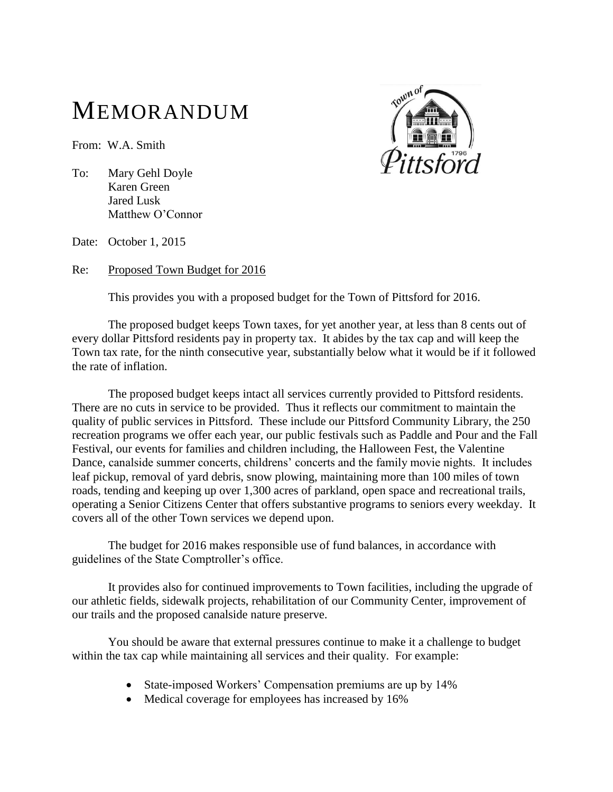## MEMORANDUM

From: W.A. Smith



To: Mary Gehl Doyle Karen Green Jared Lusk Matthew O'Connor

Date: October 1, 2015

Re: Proposed Town Budget for 2016

This provides you with a proposed budget for the Town of Pittsford for 2016.

The proposed budget keeps Town taxes, for yet another year, at less than 8 cents out of every dollar Pittsford residents pay in property tax. It abides by the tax cap and will keep the Town tax rate, for the ninth consecutive year, substantially below what it would be if it followed the rate of inflation.

The proposed budget keeps intact all services currently provided to Pittsford residents. There are no cuts in service to be provided. Thus it reflects our commitment to maintain the quality of public services in Pittsford. These include our Pittsford Community Library, the 250 recreation programs we offer each year, our public festivals such as Paddle and Pour and the Fall Festival, our events for families and children including, the Halloween Fest, the Valentine Dance, canalside summer concerts, childrens' concerts and the family movie nights. It includes leaf pickup, removal of yard debris, snow plowing, maintaining more than 100 miles of town roads, tending and keeping up over 1,300 acres of parkland, open space and recreational trails, operating a Senior Citizens Center that offers substantive programs to seniors every weekday. It covers all of the other Town services we depend upon.

The budget for 2016 makes responsible use of fund balances, in accordance with guidelines of the State Comptroller's office.

It provides also for continued improvements to Town facilities, including the upgrade of our athletic fields, sidewalk projects, rehabilitation of our Community Center, improvement of our trails and the proposed canalside nature preserve.

You should be aware that external pressures continue to make it a challenge to budget within the tax cap while maintaining all services and their quality. For example:

- State-imposed Workers' Compensation premiums are up by 14%
- Medical coverage for employees has increased by 16%